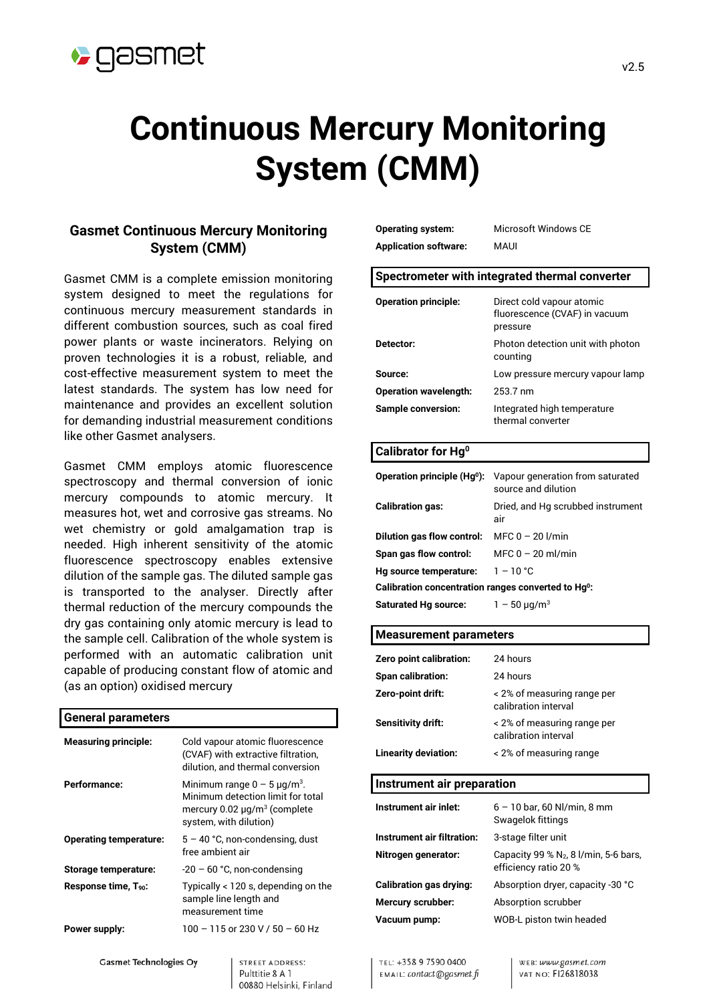

# **Continuous Mercury Monitoring System (CMM)**

# **Gasmet Continuous Mercury Monitoring System (CMM)**

Gasmet CMM is a complete emission monitoring system designed to meet the regulations for continuous mercury measurement standards in different combustion sources, such as coal fired power plants or waste incinerators. Relying on proven technologies it is a robust, reliable, and cost-effective measurement system to meet the latest standards. The system has low need for maintenance and provides an excellent solution for demanding industrial measurement conditions like other Gasmet analysers.

Gasmet CMM employs atomic fluorescence spectroscopy and thermal conversion of ionic mercury compounds to atomic mercury. It measures hot, wet and corrosive gas streams. No wet chemistry or gold amalgamation trap is needed. High inherent sensitivity of the atomic fluorescence spectroscopy enables extensive dilution of the sample gas. The diluted sample gas is transported to the analyser. Directly after thermal reduction of the mercury compounds the dry gas containing only atomic mercury is lead to the sample cell. Calibration of the whole system is performed with an automatic calibration unit capable of producing constant flow of atomic and (as an option) oxidised mercury

# **General parameters Measuring principle:** Cold vapour atomic fluorescence (CVAF) with extractive filtration, dilution, and thermal conversion **Performance:** Minimum range  $0 - 5 \mu g/m^3$ . Minimum detection limit for total mercury  $0.02 \mu q/m^3$  (complete system, with dilution) **Operating temperature:** 5 – 40 °C, non-condensing, dust free ambient air **Storage temperature:** -20 – 60 °C, non-condensing **Response time, T90:** Typically < 120 s, depending on the sample line length and measurement time **Power supply:** 100 – 115 or 230 V / 50 – 60 Hz **Gasmet Technologies Oy** STREET ADDRESS:

Pulttitie 8 A 1

00880 Helsinki, Finland

**Operating system:** Microsoft Windows CE **Application software:** MAUI

| Spectrometer with integrated thermal converter |  |
|------------------------------------------------|--|
|------------------------------------------------|--|

| <b>Operation principle:</b>  | Direct cold vapour atomic<br>fluorescence (CVAF) in vacuum<br>pressure |
|------------------------------|------------------------------------------------------------------------|
| Detector:                    | Photon detection unit with photon<br>counting                          |
| Source:                      | Low pressure mercury vapour lamp                                       |
| <b>Operation wavelength:</b> | 253.7 nm                                                               |
| <b>Sample conversion:</b>    | Integrated high temperature<br>thermal converter                       |

#### **Calibrator for Hg0**

| Operation principle $(Hq^0)$ :                                  | Vapour generation from saturated<br>source and dilution |
|-----------------------------------------------------------------|---------------------------------------------------------|
| <b>Calibration gas:</b>                                         | Dried, and Hg scrubbed instrument<br>air                |
| Dilution gas flow control:                                      | MFC $0 - 20$ I/min                                      |
| Span gas flow control:                                          | MFC $0 - 20$ ml/min                                     |
| Hg source temperature:                                          | $1 - 10 °C$                                             |
| Calibration concentration ranges converted to Hq <sup>0</sup> : |                                                         |
| <b>Saturated Hg source:</b>                                     | $1 - 50 \mu q/m^3$                                      |
|                                                                 |                                                         |

#### **Measurement parameters**

TEL: +358 9 7590 0400

EMAIL: contact@gasmet.fi

| Zero point calibration:    | 24 hours                                                          |
|----------------------------|-------------------------------------------------------------------|
| <b>Span calibration:</b>   | 24 hours                                                          |
| Zero-point drift:          | < 2% of measuring range per<br>calibration interval               |
| Sensitivity drift:         | < 2% of measuring range per<br>calibration interval               |
| Linearity deviation:       | < 2% of measuring range                                           |
|                            |                                                                   |
| Instrument air preparation |                                                                   |
|                            |                                                                   |
| Instrument air inlet:      | $6 - 10$ bar, 60 Nl/min, 8 mm<br>Swagelok fittings                |
| Instrument air filtration: | 3-stage filter unit                                               |
| Nitrogen generator:        | Capacity 99 % $N_2$ , 8 l/min, 5-6 bars,<br>efficiency ratio 20 % |
| Calibration gas drying:    | Absorption dryer, capacity -30 °C                                 |
| Mercury scrubber:          | Absorption scrubber                                               |
| Vacuum pump:               | WOB-L piston twin headed                                          |

WEB: www.gasmet.com

VAT NO: FI26818038